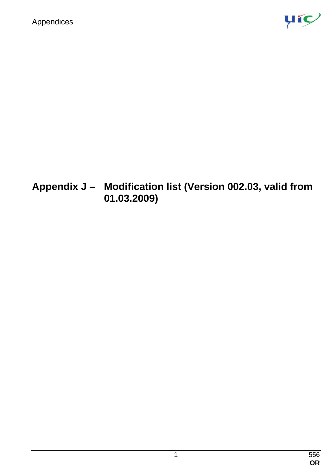

## **Appendix J – Modification list (Version 002.03, valid from 01.03.2009)**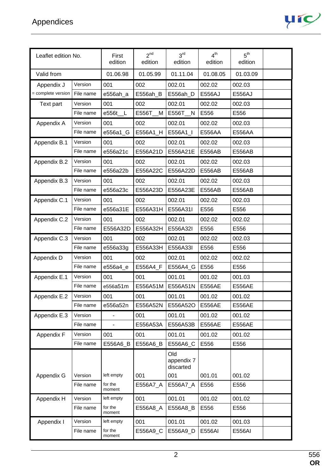

| Leaflet edition No. |           | First<br>edition  | 2 <sup>nd</sup><br>edition | 3 <sup>rd</sup><br>edition     | 4 <sup>th</sup><br>edition | 5 <sup>th</sup><br>edition |
|---------------------|-----------|-------------------|----------------------------|--------------------------------|----------------------------|----------------------------|
| Valid from          |           | 01.06.98          | 01.05.99                   | 01.11.04                       | 01.08.05                   | 01.03.09                   |
| Appendix J          | Version   | 001               | 002                        | 002.01                         | 002.02                     | 002.03                     |
| = complete version  | File name | e556ah_a          | E556ah_B                   | E556ah_D                       | E556AJ                     | E556AJ                     |
| Text part           | Version   | 001               | 002                        | 002.01                         | 002.02                     | 002.03                     |
|                     | File name | e556t<br>– L      | E556T<br>M                 | E556T<br>N                     | E556                       | E556                       |
| Appendix A          | Version   | 001               | 002                        | 002.01                         | 002.02                     | 002.03                     |
|                     | File name | e556a1_G          | E556A1_H                   | E556A1_I                       | E556AA                     | E556AA                     |
| Appendix B.1        | Version   | 001               | 002                        | 002.01                         | 002.02                     | 002.03                     |
|                     | File name | e556a21c          | E556A21D                   | E556A21E                       | E556AB                     | E556AB                     |
| Appendix B.2        | Version   | 001               | 002                        | 002.01                         | 002.02                     | 002.03                     |
|                     | File name | e556a22b          | E556A22C                   | E556A22D                       | <b>E556AB</b>              | E556AB                     |
| Appendix B.3        | Version   | 001               | 002                        | 002.01                         | 002.02                     | 002.03                     |
|                     | File name | e556a23c          | E556A23D                   | E556A23E                       | E556AB                     | E556AB                     |
| Appendix C.1        | Version   | 001               | 002                        | 002.01                         | 002.02                     | 002.03                     |
|                     | File name | e556a31E          | E556A31H                   | E556A31I                       | E556                       | E556                       |
| Appendix C.2        | Version   | 001               | 002                        | 002.01                         | 002.02                     | 002.02                     |
|                     | File name | E556A32D          | E556A32H                   | E556A32I                       | E556                       | E556                       |
| Appendix C.3        | Version   | 001               | 002                        | 002.01                         | 002.02                     | 002.03                     |
|                     | File name | e556a33g          | E556A33H                   | E556A33I                       | E556                       | E556                       |
| Appendix D          | Version   | 001               | 002                        | 002.01                         | 002.02                     | 002.02                     |
|                     | File name | e556a4_e          | E556A4_F                   | E556A4_G                       | E556                       | E556                       |
| Appendix E.1        | Version   | 001               | 001                        | 001.01                         | 001.02                     | 001.03                     |
|                     | File name | e556a51m          | E556A51M                   | E556A51N                       | <b>E556AE</b>              | <b>E556AE</b>              |
| Appendix E.2        | Version   | 001               | 001                        | 001.01                         | 001.02                     | 001.02                     |
|                     | File name | e556a52n          | E556A52N                   | E556A52O                       | <b>E556AE</b>              | E556AE                     |
| Appendix E.3        | Version   |                   | 001                        | 001.01                         | 001.02                     | 001.02                     |
|                     | File name |                   | E556A53A                   | E556A53B                       | <b>E556AE</b>              | <b>E556AE</b>              |
| Appendix F          | Version   | 001               | 001                        | 001.01                         | 001.02                     | 001.02                     |
|                     | File name | E556A6_B          | E556A6_B                   | E556A6_C                       | E556                       | E556                       |
|                     |           |                   |                            | Old<br>appendix 7<br>discarted |                            |                            |
| Appendix G          | Version   | left empty        | 001                        | 001                            | 001.01                     | 001.02                     |
|                     | File name | for the<br>moment | E556A7_A                   | E556A7_A                       | E556                       | E556                       |
| Appendix H          | Version   | left empty        | 001                        | 001.01                         | 001.02                     | 001.02                     |
|                     | File name | for the<br>moment | E556A8_A                   | E556A8_B                       | E556                       | E556                       |
| Appendix I          | Version   | left empty        | 001                        | 001.01                         | 001.02                     | 001.03                     |
|                     | File name | for the<br>moment | E556A9_C                   | E556A9_D                       | E556AI                     | E556AI                     |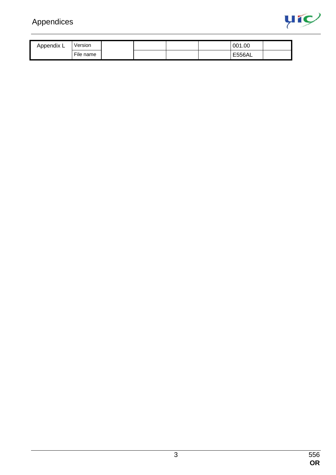

| Appendix ∟ | Version   |  |  | 001.00 |  |
|------------|-----------|--|--|--------|--|
|            | File name |  |  | E556AL |  |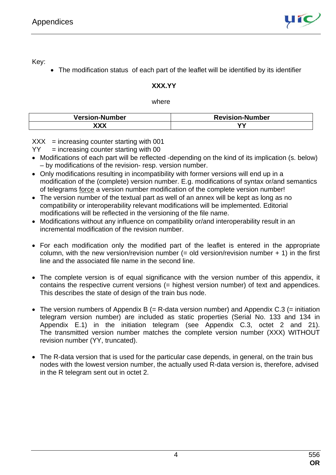

Key:

• The modification status of each part of the leaflet will be identified by its identifier

## **XXX.YY**

## where

| <b>Version-Number</b> | <b>Revision-Number</b> |
|-----------------------|------------------------|
| XXX                   | w                      |

 $XXX = increasing counter starting with 001$ 

- $YY = increasing counter starting with 00$
- Modifications of each part will be reflected -depending on the kind of its implication (s. below) – by modifications of the revision- resp. version number.
- Only modifications resulting in incompatibility with former versions will end up in a modification of the (complete) version number. E.g. modifications of syntax or/and semantics of telegrams force a version number modification of the complete version number!
- The version number of the textual part as well of an annex will be kept as long as no compatibility or interoperability relevant modifications will be implemented. Editorial modifications will be reflected in the versioning of the file name.
- Modifications without any influence on compatibility or/and interoperability result in an incremental modification of the revision number.
- For each modification only the modified part of the leaflet is entered in the appropriate column, with the new version/revision number  $(=$  old version/revision number  $+$  1) in the first line and the associated file name in the second line.
- The complete version is of equal significance with the version number of this appendix, it contains the respective current versions (= highest version number) of text and appendices. This describes the state of design of the train bus node.
- The version numbers of Appendix B (= R-data version number) and Appendix C.3 (= initiation telegram version number) are included as static properties (Serial No. 133 and 134 in Appendix E.1) in the initiation telegram (see Appendix C.3, octet 2 and 21). The transmitted version number matches the complete version number (XXX) WITHOUT revision number (YY, truncated).
- The R-data version that is used for the particular case depends, in general, on the train bus nodes with the lowest version number, the actually used R-data version is, therefore, advised in the R telegram sent out in octet 2.